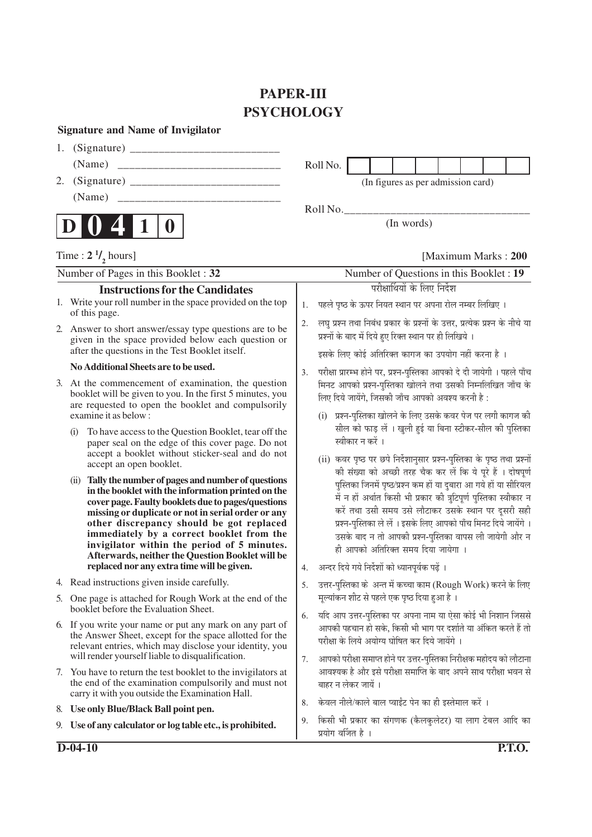# **PAPER-III PSYCHOLOGY**

Roll No.

#### **Signature and Name of Invigilator**

- 1. (Signature) \_\_\_\_\_\_\_\_\_\_\_\_\_\_\_\_\_\_\_\_\_\_\_\_\_\_ (Name) \_\_\_\_\_\_\_\_\_\_\_\_\_\_\_\_\_\_\_\_\_\_\_\_\_\_\_\_
- 2. (Signature) \_\_\_\_\_\_\_\_\_\_\_\_\_\_\_\_\_\_\_\_\_\_\_\_\_\_ (Name) \_\_\_\_\_\_\_\_\_\_\_\_\_\_\_\_\_\_\_\_\_\_\_\_\_\_\_\_



## Roll No.\_\_\_\_\_\_\_\_\_\_\_\_\_\_\_\_\_\_\_\_\_\_\_\_\_\_\_\_\_\_\_\_

(In figures as per admission card)

(In words)

|  | Time : $2^{1}$ , hours] |  |
|--|-------------------------|--|
|  |                         |  |

|                                     | Time : $2^{1/2}$ , hours]                                                                                                                                                                                                                                                                                                                                                                                                                                          |                                          | [Maximum Marks: 200                                                                                                                                                                                                                                                                                                                                                                                                                                                                |  |
|-------------------------------------|--------------------------------------------------------------------------------------------------------------------------------------------------------------------------------------------------------------------------------------------------------------------------------------------------------------------------------------------------------------------------------------------------------------------------------------------------------------------|------------------------------------------|------------------------------------------------------------------------------------------------------------------------------------------------------------------------------------------------------------------------------------------------------------------------------------------------------------------------------------------------------------------------------------------------------------------------------------------------------------------------------------|--|
| Number of Pages in this Booklet: 32 |                                                                                                                                                                                                                                                                                                                                                                                                                                                                    | Number of Questions in this Booklet : 19 |                                                                                                                                                                                                                                                                                                                                                                                                                                                                                    |  |
|                                     | <b>Instructions for the Candidates</b>                                                                                                                                                                                                                                                                                                                                                                                                                             |                                          | परीक्षार्थियों के लिए निर्देश                                                                                                                                                                                                                                                                                                                                                                                                                                                      |  |
|                                     | 1. Write your roll number in the space provided on the top<br>of this page.                                                                                                                                                                                                                                                                                                                                                                                        | 1.                                       | पहले पृष्ठ के ऊपर नियत स्थान पर अपना रोल नम्बर लिखिए ।                                                                                                                                                                                                                                                                                                                                                                                                                             |  |
|                                     | 2. Answer to short answer/essay type questions are to be<br>given in the space provided below each question or<br>after the questions in the Test Booklet itself.                                                                                                                                                                                                                                                                                                  | 2.                                       | लघु प्रश्न तथा निबंध प्रकार के प्रश्नों के उत्तर, प्रत्येक प्रश्न के नीचे या<br>प्रश्नों के बाद में दिये हुए रिक्त स्थान पर ही लिखिये ।<br>इसके लिए कोई अतिरिक्त कागज का उपयोग नहीं करना है ।                                                                                                                                                                                                                                                                                      |  |
|                                     | No Additional Sheets are to be used.                                                                                                                                                                                                                                                                                                                                                                                                                               |                                          |                                                                                                                                                                                                                                                                                                                                                                                                                                                                                    |  |
|                                     | 3. At the commencement of examination, the question<br>booklet will be given to you. In the first 5 minutes, you<br>are requested to open the booklet and compulsorily<br>examine it as below:                                                                                                                                                                                                                                                                     | 3.                                       | परीक्षा प्रारम्भ होने पर, प्रश्न-पुस्तिका आपको दे दी जायेगी । पहले पाँच<br>मिनट आपको प्रश्न-पुस्तिका खोलने तथा उसकी निम्नलिखित जाँच के<br>लिए दिये जायेंगे, जिसकी जाँच आपको अवश्य करनी है:<br>प्रश्न-पुस्तिका खोलने के लिए उसके कवर पेज पर लगी कागज की<br>(i)                                                                                                                                                                                                                      |  |
|                                     | To have access to the Question Booklet, tear off the<br>(i)<br>paper seal on the edge of this cover page. Do not<br>accept a booklet without sticker-seal and do not<br>accept an open booklet.                                                                                                                                                                                                                                                                    |                                          | सील को फाड़ लें । खुली हुई या बिना स्टीकर-सील की पुस्तिका<br>स्वीकार न करें ।<br>(ii) कवर पृष्ठ पर छपे निर्देशानुसार प्रश्न-पुस्तिका के पृष्ठ तथा प्रश्नों                                                                                                                                                                                                                                                                                                                         |  |
|                                     | (ii) Tally the number of pages and number of questions<br>in the booklet with the information printed on the<br>cover page. Faulty booklets due to pages/questions<br>missing or duplicate or not in serial order or any<br>other discrepancy should be got replaced<br>immediately by a correct booklet from the<br>invigilator within the period of 5 minutes.<br>Afterwards, neither the Question Booklet will be<br>replaced nor any extra time will be given. | 4.                                       | की संख्या को अच्छी तरह चैक कर लें कि ये पूरे हैं । दोषपूर्ण<br>पुस्तिका जिनमें पृष्ठ/प्रश्न कम हों या दुबारा आ गये हों या सीरियल<br>में न हों अर्थात किसी भी प्रकार की त्रुटिपूर्ण पुस्तिका स्वीकार न<br>करें तथा उसी समय उसे लौटाकर उसके स्थान पर दूसरी सही<br>प्रश्न-पुस्तिका ले लें । इसके लिए आपको पाँच मिनट दिये जायेंगे ।<br>उसके बाद न तो आपकी प्रश्न-पुस्तिका वापस ली जायेगी और न<br>ही आपको अतिरिक्त समय दिया जायेगा ।<br>अन्दर दिये गये निर्देशों को ध्यानपूर्वक पढ़ें । |  |
|                                     | 4. Read instructions given inside carefully.                                                                                                                                                                                                                                                                                                                                                                                                                       | 5.                                       | उत्तर-पुस्तिका के अन्त में कच्चा काम (Rough Work) करने के लिए                                                                                                                                                                                                                                                                                                                                                                                                                      |  |
|                                     | 5. One page is attached for Rough Work at the end of the<br>booklet before the Evaluation Sheet.                                                                                                                                                                                                                                                                                                                                                                   |                                          | मूल्यांकन शीट से पहले एक पृष्ठ दिया हुआ है।<br>यदि आप उत्तर-पुस्तिका पर अपना नाम या ऐसा कोई भी निशान जिससे                                                                                                                                                                                                                                                                                                                                                                         |  |
|                                     | 6. If you write your name or put any mark on any part of<br>the Answer Sheet, except for the space allotted for the<br>relevant entries, which may disclose your identity, you<br>will render yourself liable to disqualification.                                                                                                                                                                                                                                 | 6.<br>7.                                 | आपकी पहचान हो सके, किसी भी भाग पर दर्शाते या अंकित करते हैं तो<br>परीक्षा के लिये अयोग्य घोषित कर दिये जायेंगे ।<br>आपको परीक्षा समाप्त होने पर उत्तर-पुस्तिका निरीक्षक महोदय को लौटाना                                                                                                                                                                                                                                                                                            |  |
|                                     | 7. You have to return the test booklet to the invigilators at<br>the end of the examination compulsorily and must not<br>carry it with you outside the Examination Hall.                                                                                                                                                                                                                                                                                           |                                          | आवश्यक है और इसे परीक्षा समाप्ति के बाद अपने साथ परीक्षा भवन से<br>बाहर न लेकर जायें ।                                                                                                                                                                                                                                                                                                                                                                                             |  |
|                                     | 8. Use only Blue/Black Ball point pen.                                                                                                                                                                                                                                                                                                                                                                                                                             | $\mathsf{R}$                             | केवल नीले/काले बाल प्वाईंट पेन का ही इस्तेमाल करें ।                                                                                                                                                                                                                                                                                                                                                                                                                               |  |
|                                     | 9. Use of any calculator or log table etc., is prohibited.                                                                                                                                                                                                                                                                                                                                                                                                         | 9.                                       | किसी भी प्रकार का संगणक (कैलकुलेटर) या लाग टेबल आदि का<br>प्रयोग वर्जित है ।                                                                                                                                                                                                                                                                                                                                                                                                       |  |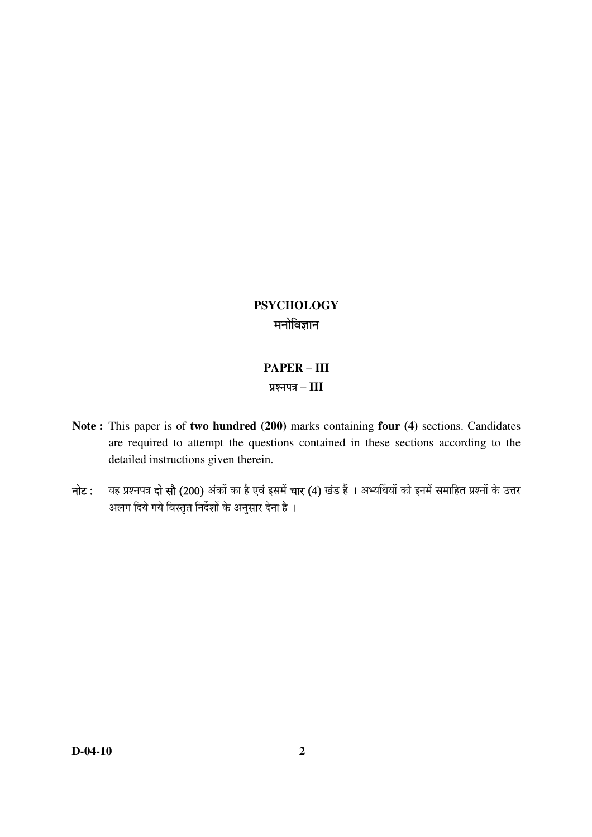# **PSYCHOLOGY** मनोविज्ञान

# **PAPER - III** प्रश्नपत्र $-III$

- Note: This paper is of two hundred (200) marks containing four (4) sections. Candidates are required to attempt the questions contained in these sections according to the detailed instructions given therein.
- यह प्रश्नपत्र **दो सौ (200)** अंकों का है एवं इसमें **चार (4)** खंड हैं । अभ्यर्थियों को इनमें समाहित प्रश्नों के उत्तर नोट : अलग दिये गये विस्तृत निर्देशों के अनुसार देना है ।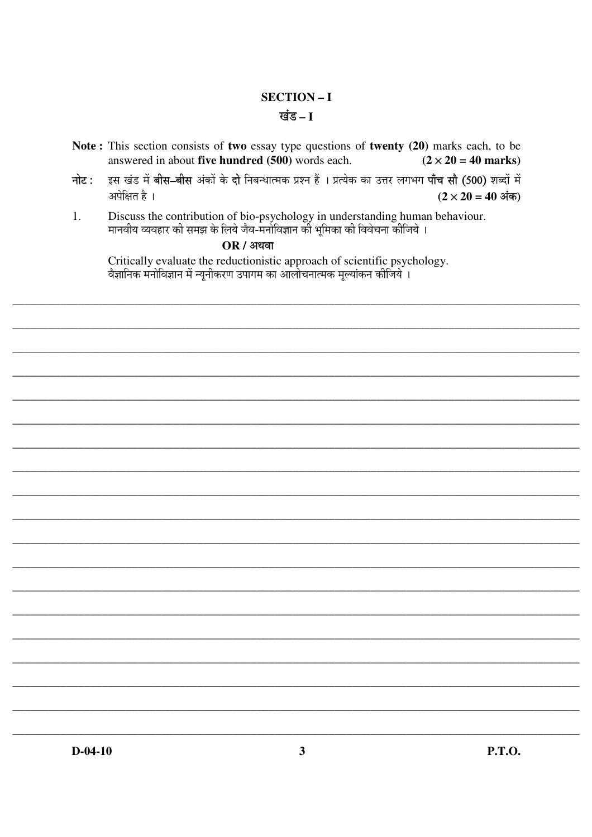## **SECTION-I** खंड – I

- Note: This section consists of two essay type questions of twenty (20) marks each, to be answered in about five hundred (500) words each.  $(2 \times 20 = 40$  marks)
- इस खंड में **बीस–बीस** अंकों के **दो** निबन्धात्मक प्रश्न हैं । प्रत्येक का उत्तर लगभग **पाँच सौ (500)** शब्दों में नोट : अपेक्षित है।  $(2 \times 20 = 40 \text{ m})$
- $\mathbf{1}$ Discuss the contribution of bio-psychology in understanding human behaviour. मानवीय व्यवहार की समझ के लिये जैव-मनोविज्ञान की भूमिका की विवेचना कीजिये ।

#### **OR / अथवा**

Critically evaluate the reductionistic approach of scientific psychology. वैज्ञानिक मनोविज्ञान में न्यूनीकरण उपागम का आलोचनात्मक मूल्यांकन कीजिये ।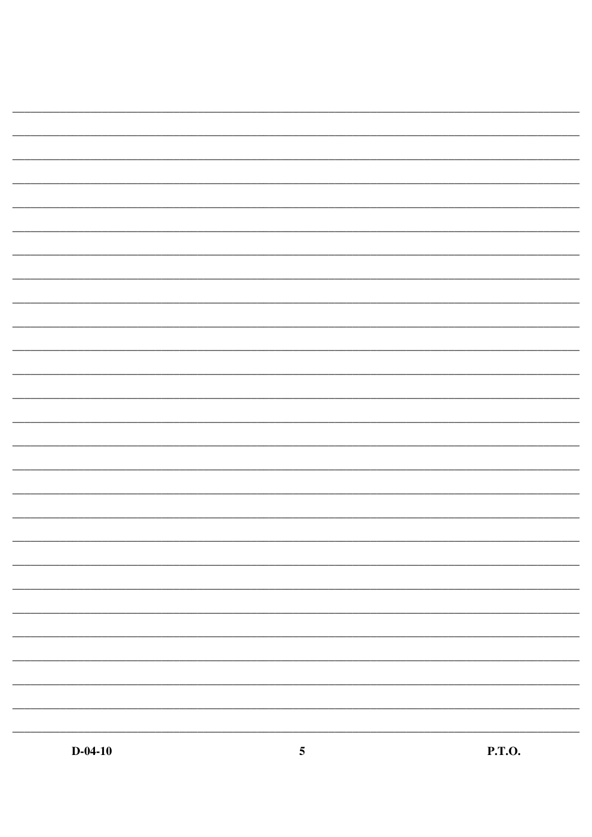$\overline{\phantom{a}}$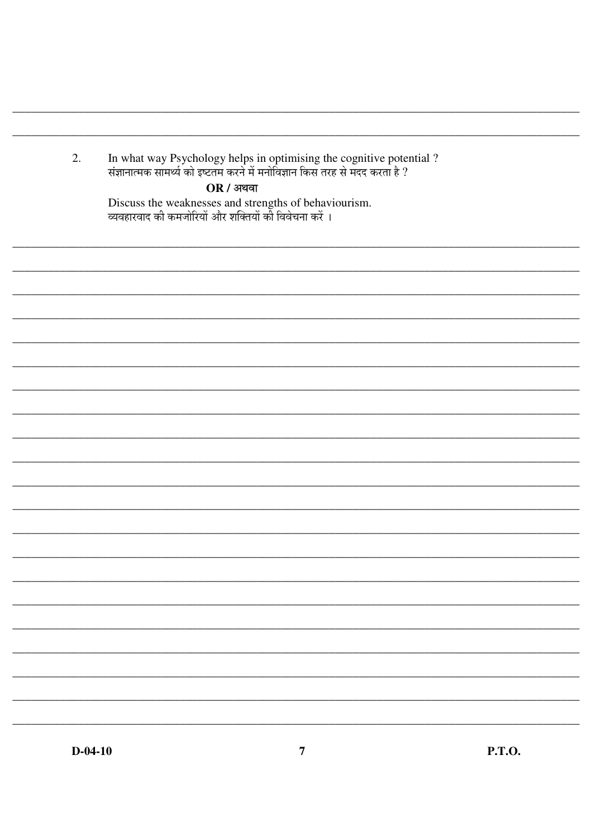| 2.        | In what way Psychology helps in optimising the cognitive potential ?<br>संज्ञानात्मक सामर्थ्य को इष्टतम करने में मनोविज्ञान किस तरह से मदद करता है ?<br><b>OR / अथवा</b><br>Discuss the weaknesses and strengths of behaviourism.<br>व्यवहारवाद की कमजोरियों और शक्तियों की विवेचना करें । |                |               |
|-----------|--------------------------------------------------------------------------------------------------------------------------------------------------------------------------------------------------------------------------------------------------------------------------------------------|----------------|---------------|
|           |                                                                                                                                                                                                                                                                                            |                |               |
|           |                                                                                                                                                                                                                                                                                            |                |               |
|           |                                                                                                                                                                                                                                                                                            |                |               |
|           |                                                                                                                                                                                                                                                                                            |                |               |
|           |                                                                                                                                                                                                                                                                                            |                |               |
|           |                                                                                                                                                                                                                                                                                            |                |               |
|           |                                                                                                                                                                                                                                                                                            |                |               |
|           |                                                                                                                                                                                                                                                                                            |                |               |
|           |                                                                                                                                                                                                                                                                                            |                |               |
|           |                                                                                                                                                                                                                                                                                            |                |               |
|           |                                                                                                                                                                                                                                                                                            |                |               |
|           |                                                                                                                                                                                                                                                                                            |                |               |
|           |                                                                                                                                                                                                                                                                                            |                |               |
|           |                                                                                                                                                                                                                                                                                            |                |               |
|           |                                                                                                                                                                                                                                                                                            |                |               |
|           |                                                                                                                                                                                                                                                                                            |                |               |
|           |                                                                                                                                                                                                                                                                                            |                |               |
|           |                                                                                                                                                                                                                                                                                            |                |               |
|           |                                                                                                                                                                                                                                                                                            |                |               |
| $D-04-10$ |                                                                                                                                                                                                                                                                                            | $\overline{7}$ | <b>P.T.O.</b> |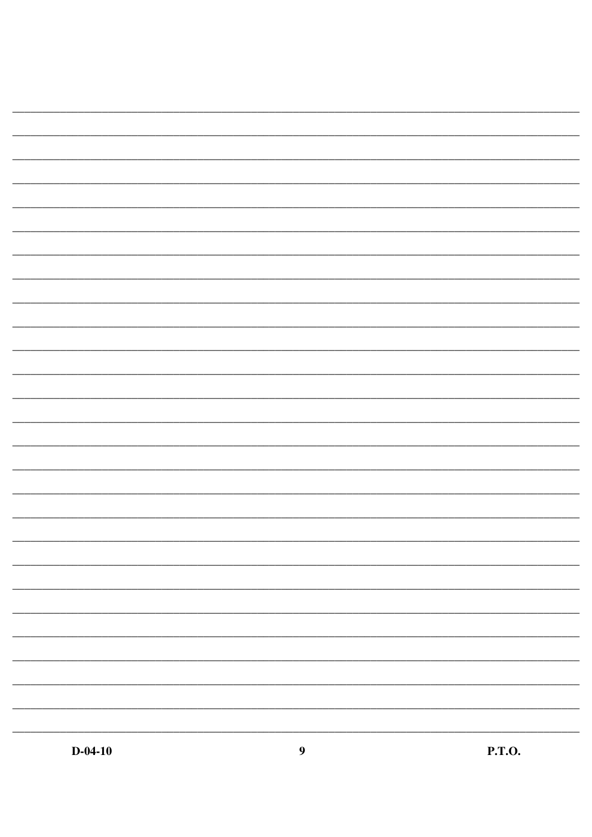$\overline{a}$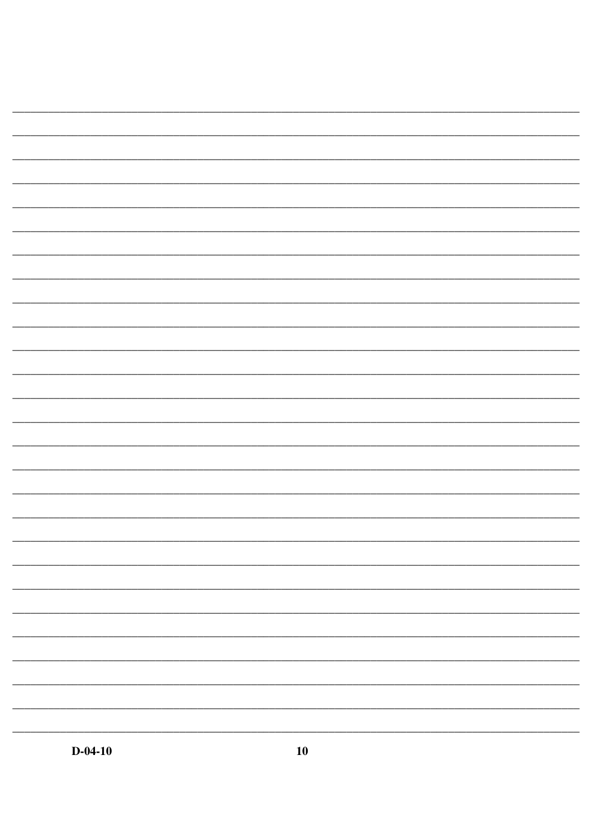| -  |
|----|
| Ξ. |
|    |
|    |
|    |
|    |
|    |
|    |
|    |
| —  |
|    |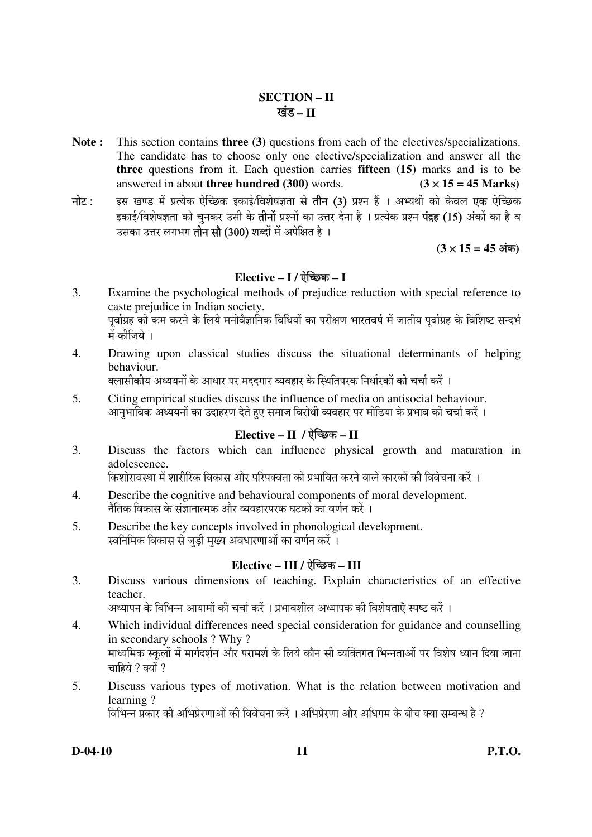### **SECTION - II** खंड – II

- Note: This section contains **three** (3) questions from each of the electives/specializations. The candidate has to choose only one elective/specialization and answer all the three questions from it. Each question carries fifteen (15) marks and is to be answered in about **three hundred** (300) words.  $(3 \times 15 = 45$  Marks)
- नोट $:$ इस खण्ड में प्रत्येक ऐच्छिक इकाई/विशेषज्ञता से **तीन (3)** प्रश्न हैं । अभ्यर्थी को केवल **एक** ऐच्छिक इकाई/विशेषज्ञता को चनकर उसी के **तीनों** प्रश्नों का उत्तर देना है । प्रत्येक प्रश्न **पंद्रह (15)** अंकों का है व उसका उत्तर लगभग **तीन सौ (300)** शब्दों में अपेक्षित है ।

 $(3 \times 15 = 45 \text{ s})$ 

#### Elective –  $I / \sqrt{1 + I}$

- Examine the psychological methods of prejudice reduction with special reference to  $\overline{3}$ . caste prejudice in Indian society. पूर्वाग्रह को कम करने के लिये मनोवैज्ञानिक विधियों का परीक्षण भारतवर्ष में जातीय पूर्वाग्रह के विशिष्ट सन्दर्भ में कीजिये ।
- $\overline{4}$ . Drawing upon classical studies discuss the situational determinants of helping behaviour.

क्लासीकीय अध्ययनों के आधार पर मददगार व्यवहार के स्थितिपरक निर्धारकों की चर्चा करें ।

Citing empirical studies discuss the influence of media on antisocial behaviour.  $5<sub>1</sub>$ आनभाविक अध्ययनों का उदाहरण देते हए समाज विरोधी व्यवहार पर मीडिया के प्रभाव की चर्चा करें ।

### Elective - II / ऐच्छिक - II

Discuss the factors which can influence physical growth and maturation in  $\overline{3}$ . adolescence.

किशोरावस्था में शारीरिक विकास और परिपक्वता को प्रभावित करने वाले कारकों की विवेचना करें ।

- $4.$ Describe the cognitive and behavioural components of moral development. नैतिक विकास के संज्ञानात्मक और व्यवहारपरक घटकों का वर्णन करें ।
- 5. Describe the key concepts involved in phonological development. स्वनिमिक विकास से जुडी मुख्य अवधारणाओं का वर्णन करें ।

## Elective - III / ऐच्छिक - III

Discuss various dimensions of teaching. Explain characteristics of an effective  $3.$ teacher.

अध्यापन के विभिन्न आयामों की चर्चा करें । प्रभावशील अध्यापक की विशेषताएँ स्पष्ट करें ।

- $\overline{4}$ . Which individual differences need special consideration for guidance and counselling in secondary schools ? Why ? माध्यमिक स्कूलों में मार्गदर्शन और परामर्श के लिये कौन सी व्यक्तिगत भिन्नताओं पर विशेष ध्यान दिया जाना चाहिये ? क्यों ?
- $5<sub>1</sub>$ Discuss various types of motivation. What is the relation between motivation and learning?

विभिन्न प्रकार की अभिप्रेरणाओं की विवेचना करें । अभिप्रेरणा और अधिगम के बीच क्या सम्बन्ध है ?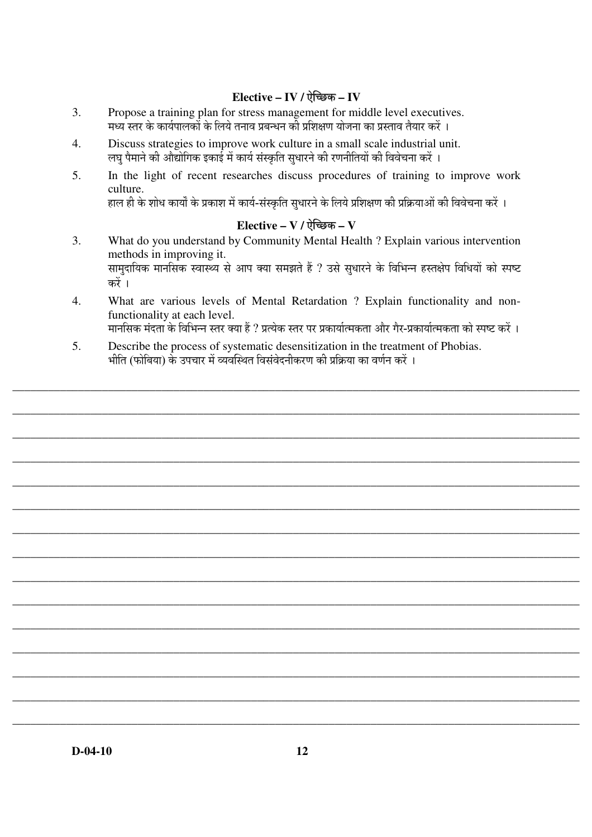### Elective – IV / ऐच्छिक – IV

- 3. Propose a training plan for stress management for middle level executives. मध्य स्तर के कार्यपालकों के लिये तनाव प्रबन्धन को प्रशिक्षण योजना का प्रस्ताव तैयार करें ।
- Discuss strategies to improve work culture in a small scale industrial unit.  $\overline{4}$ . लघु पैमाने की औद्योगिक इकाई में कार्य संस्कृति सुधारने की रणनीतियों की विवेचना करें ।
- In the light of recent researches discuss procedures of training to improve work 5. culture.

हाल ही के शोध कार्यों के प्रकाश में कार्य-संस्कृति सुधारने के लिये प्रशिक्षण की प्रक्रियाओं की विवेचना करें ।

#### Elective –  $V / \sqrt{V}$ छिक $- V$

- What do you understand by Community Mental Health ? Explain various intervention  $\overline{3}$ . methods in improving it. सामुदायिक मानसिक स्वास्थ्य से आप क्या समझते हैं ? उसे सुधारने के विभिन्न हस्तक्षेप विधियों को स्पष्ट करें ।
- $\overline{4}$ What are various levels of Mental Retardation ? Explain functionality and nonfunctionality at each level. मानसिक मंदता के विभिन्न स्तर क्या हैं ? प्रत्येक स्तर पर प्रकार्यात्मकता और गैर-प्रकार्यात्मकता को स्पष्ट करें ।
- $5<sub>1</sub>$ Describe the process of systematic desensitization in the treatment of Phobias. भीति (फोबिया) के उपचार में व्यवस्थित विसंवेदनीकरण की प्रक्रिया का वर्णन करें ।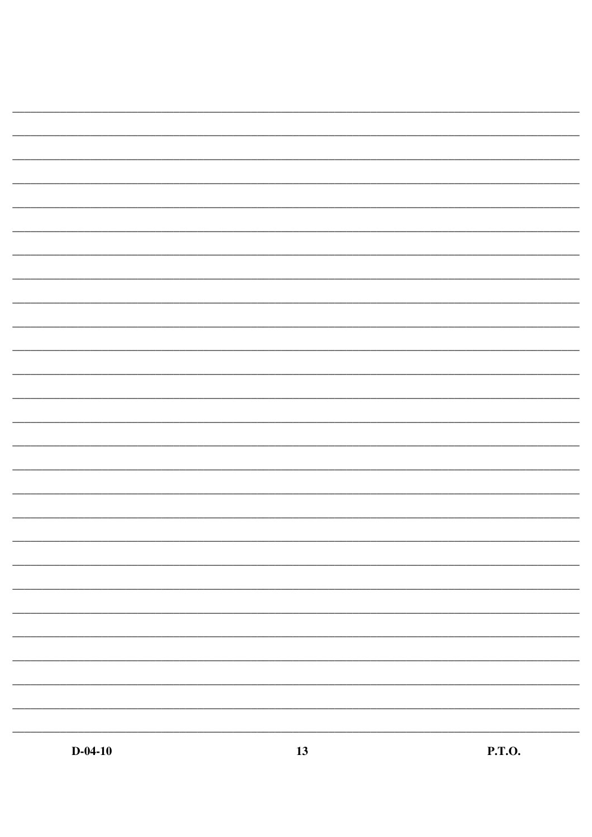|                                      |                                   | $\overline{\phantom{0}}$ |
|--------------------------------------|-----------------------------------|--------------------------|
|                                      |                                   | Ξ,                       |
|                                      |                                   |                          |
|                                      |                                   |                          |
|                                      |                                   |                          |
|                                      |                                   |                          |
|                                      |                                   |                          |
|                                      |                                   |                          |
|                                      |                                   |                          |
|                                      |                                   |                          |
| 그는 그 그 그 사람들은 그 사람들을 만들어 보이는 것이 없었다. | the company's company's company's |                          |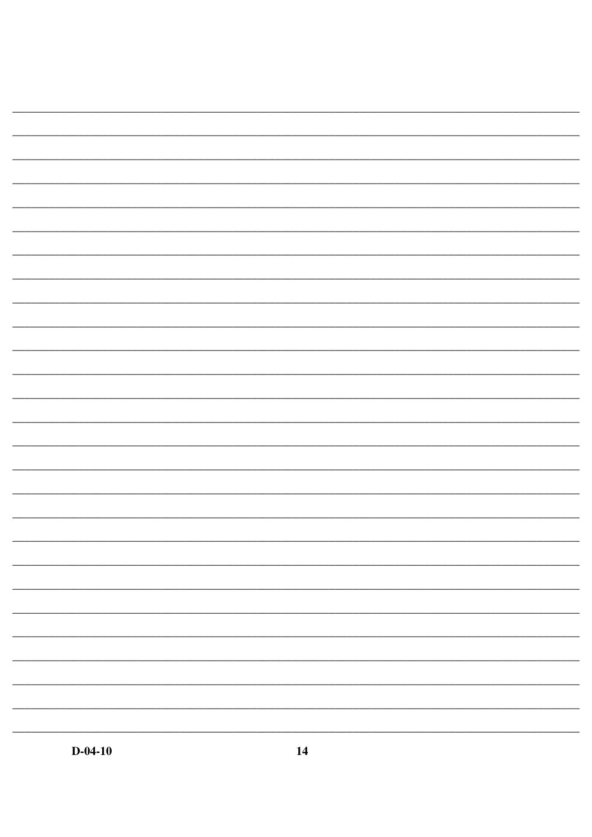$\overline{a}$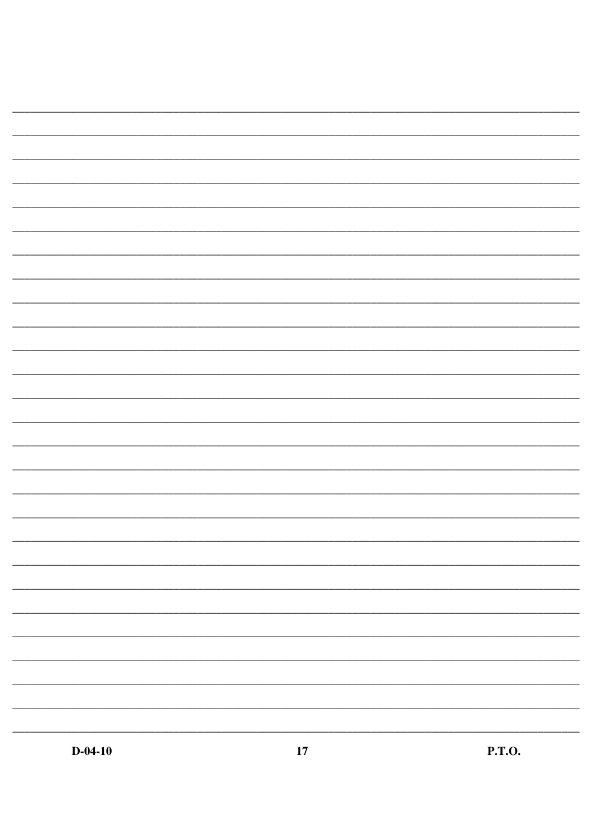|                                                                                                                                                                                                                                                                                        | $\frac{1}{2}$ |
|----------------------------------------------------------------------------------------------------------------------------------------------------------------------------------------------------------------------------------------------------------------------------------------|---------------|
|                                                                                                                                                                                                                                                                                        |               |
|                                                                                                                                                                                                                                                                                        | Ξ.            |
|                                                                                                                                                                                                                                                                                        |               |
|                                                                                                                                                                                                                                                                                        |               |
|                                                                                                                                                                                                                                                                                        |               |
|                                                                                                                                                                                                                                                                                        |               |
|                                                                                                                                                                                                                                                                                        |               |
|                                                                                                                                                                                                                                                                                        |               |
|                                                                                                                                                                                                                                                                                        |               |
|                                                                                                                                                                                                                                                                                        |               |
| 그는 그 그는 그 그 그 사람들이 아니라 아이들이 아니라 아이들이 아니라 아이들이 아니라 아니라<br>1000 - Carolina Andrew State Andrew State Andrew State Andrew State Andrew State Andrew State Andrew State Andrew State Andrew State Andrew State Andrew State Andrew State Andrew State Andrew State Andrew State Andrew Sta |               |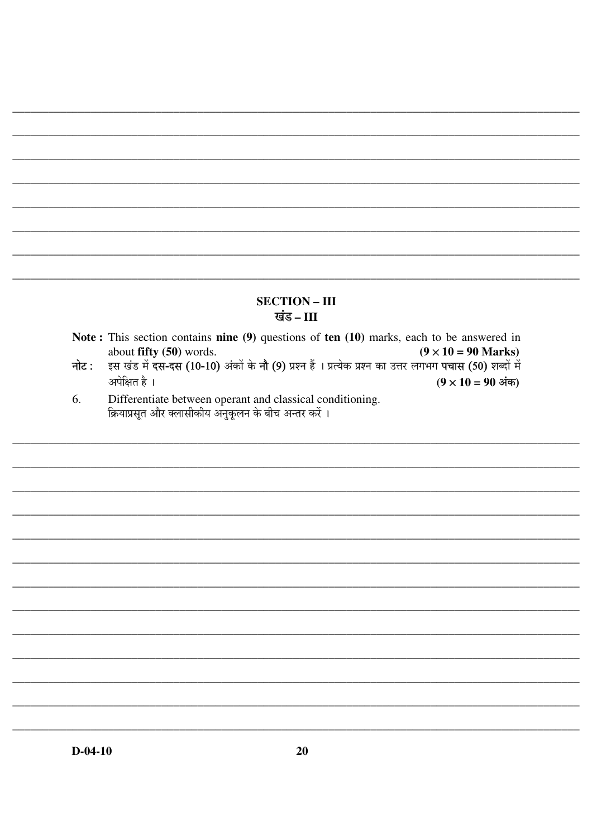## **SECTION - III** खंड- $III$

| नोट : | Note: This section contains nine (9) questions of ten (10) marks, each to be answered in<br>about fifty (50) words.<br>इस खंड में <b>दस-दस (10-10)</b> अंकों के <b>नौ (9)</b> प्रश्न हैं । प्रत्येक प्रश्न का उत्तर लगभग <b>पचास (50)</b> शब्दों में<br>अपेक्षित है। | $(9 \times 10 = 90 \text{ Marks})$<br>$(9 \times 10 = 90 \text{ sign})$ |  |
|-------|----------------------------------------------------------------------------------------------------------------------------------------------------------------------------------------------------------------------------------------------------------------------|-------------------------------------------------------------------------|--|
| 6.    | Differentiate between operant and classical conditioning.<br>क्रियाप्रसूत और क्लासीकीय अनुकूलन के बीच अन्तर करें।                                                                                                                                                    |                                                                         |  |
|       |                                                                                                                                                                                                                                                                      |                                                                         |  |
|       |                                                                                                                                                                                                                                                                      |                                                                         |  |
|       |                                                                                                                                                                                                                                                                      |                                                                         |  |
|       |                                                                                                                                                                                                                                                                      |                                                                         |  |
|       |                                                                                                                                                                                                                                                                      |                                                                         |  |
|       |                                                                                                                                                                                                                                                                      |                                                                         |  |
|       |                                                                                                                                                                                                                                                                      |                                                                         |  |
|       |                                                                                                                                                                                                                                                                      |                                                                         |  |
|       |                                                                                                                                                                                                                                                                      |                                                                         |  |
|       |                                                                                                                                                                                                                                                                      |                                                                         |  |
|       |                                                                                                                                                                                                                                                                      |                                                                         |  |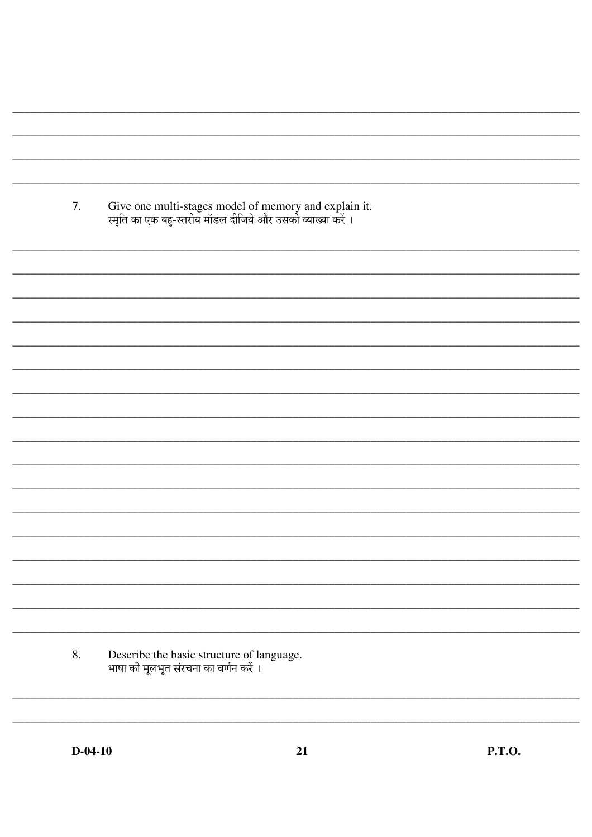| 7. | Give one multi-stages model of memory and explain it.<br>स्मृति का एक बहु-स्तरीय मॉडल दीजिये और उसकी व्याख्या करें । |
|----|----------------------------------------------------------------------------------------------------------------------|
|    |                                                                                                                      |
|    |                                                                                                                      |
|    |                                                                                                                      |
|    |                                                                                                                      |
|    |                                                                                                                      |
|    |                                                                                                                      |
|    |                                                                                                                      |
|    |                                                                                                                      |
|    |                                                                                                                      |
|    |                                                                                                                      |
|    |                                                                                                                      |
|    |                                                                                                                      |
|    |                                                                                                                      |
|    |                                                                                                                      |
|    |                                                                                                                      |
|    |                                                                                                                      |
|    |                                                                                                                      |
|    |                                                                                                                      |
|    |                                                                                                                      |
|    |                                                                                                                      |
|    |                                                                                                                      |
| 8. | Describe the basic structure of language.<br>भाषा की मूलभूत संरचना का वर्णन करें ।                                   |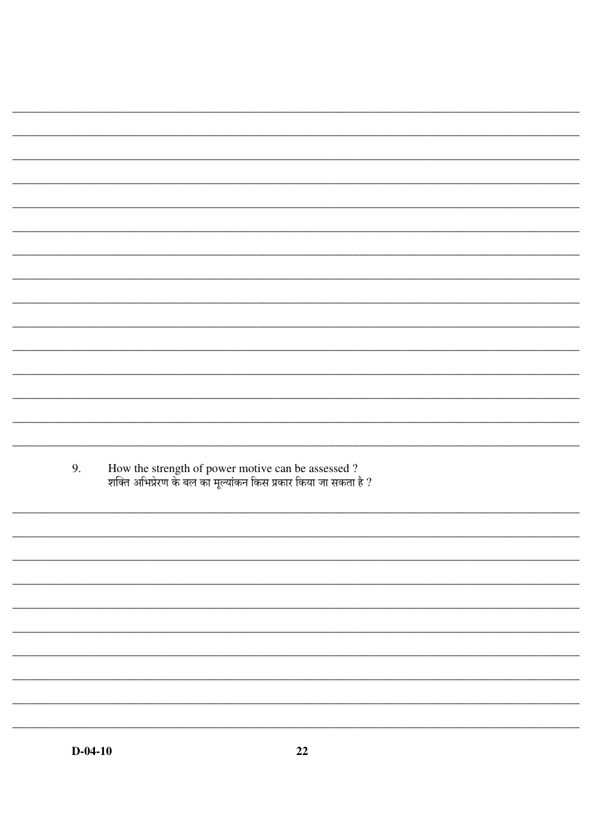| 9. |                                                                                                                       |
|----|-----------------------------------------------------------------------------------------------------------------------|
|    | How the strength of power motive can be assessed ?<br>शक्ति अभिप्रेरण के बल का मूल्यांकन किस प्रकार किया जा सकता है ? |
|    |                                                                                                                       |
|    |                                                                                                                       |
|    |                                                                                                                       |
|    |                                                                                                                       |
|    |                                                                                                                       |
|    |                                                                                                                       |
|    |                                                                                                                       |
|    |                                                                                                                       |
|    |                                                                                                                       |
|    |                                                                                                                       |
|    |                                                                                                                       |
|    |                                                                                                                       |
|    |                                                                                                                       |
|    |                                                                                                                       |
|    |                                                                                                                       |
|    |                                                                                                                       |
|    |                                                                                                                       |
|    |                                                                                                                       |
|    |                                                                                                                       |

 $D-04-10$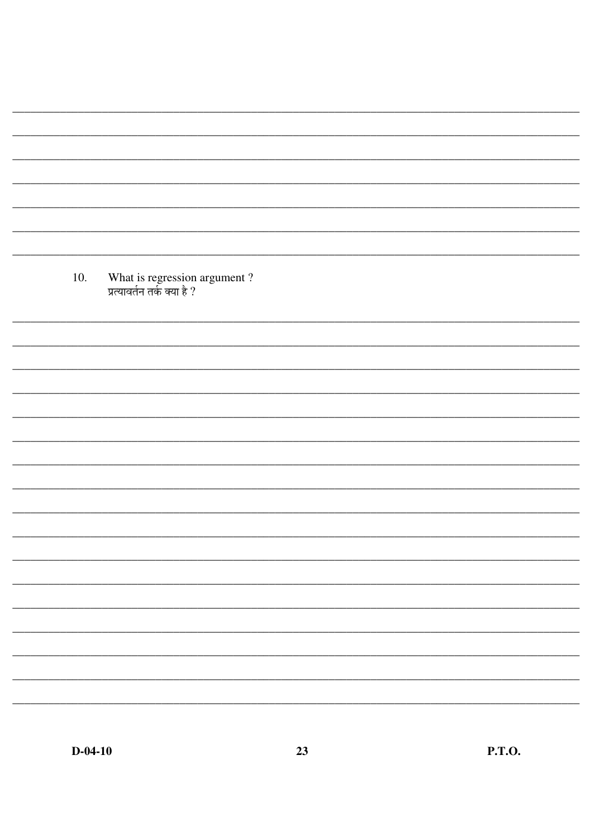| 10. | What is regression argument ?<br>प्रत्यावर्तन तर्क क्या है ? |
|-----|--------------------------------------------------------------|
|     |                                                              |
|     |                                                              |
|     |                                                              |
|     |                                                              |
|     |                                                              |
|     |                                                              |
|     |                                                              |
|     |                                                              |
|     |                                                              |
|     |                                                              |
|     |                                                              |
|     |                                                              |
|     |                                                              |
|     |                                                              |
|     |                                                              |
|     |                                                              |
|     |                                                              |
|     |                                                              |
|     |                                                              |
|     |                                                              |
|     |                                                              |
|     |                                                              |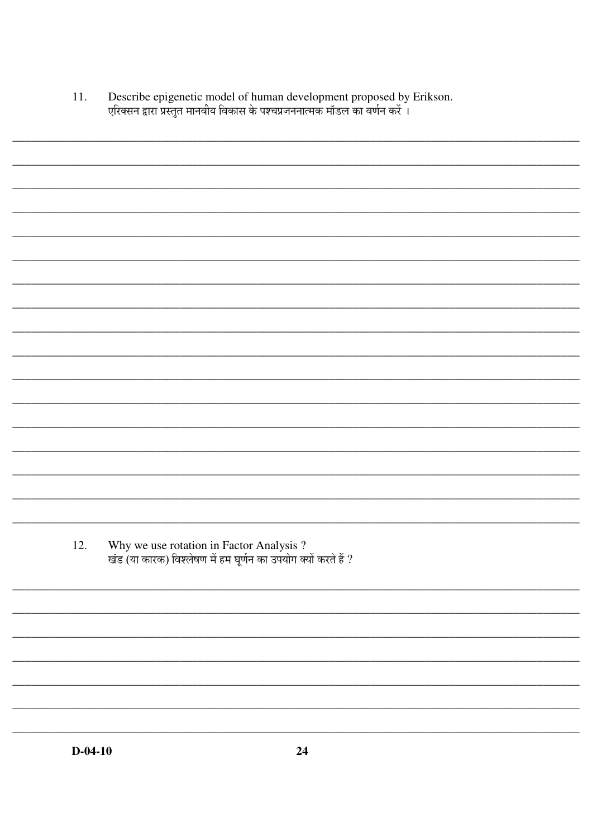| 11. | Describe epigenetic model of human development proposed by Erikson.           |
|-----|-------------------------------------------------------------------------------|
|     | ्एरिक्सन द्वारा प्रस्तुत मानवीय विकास के पश्चप्रजननात्मक मॉडल का वर्णन करें । |

Why we use rotation in Factor Analysis ?<br>खंड (या कारक) विश्लेषण में हम घूर्णन का उपयोग क्यों करते हैं ? 12.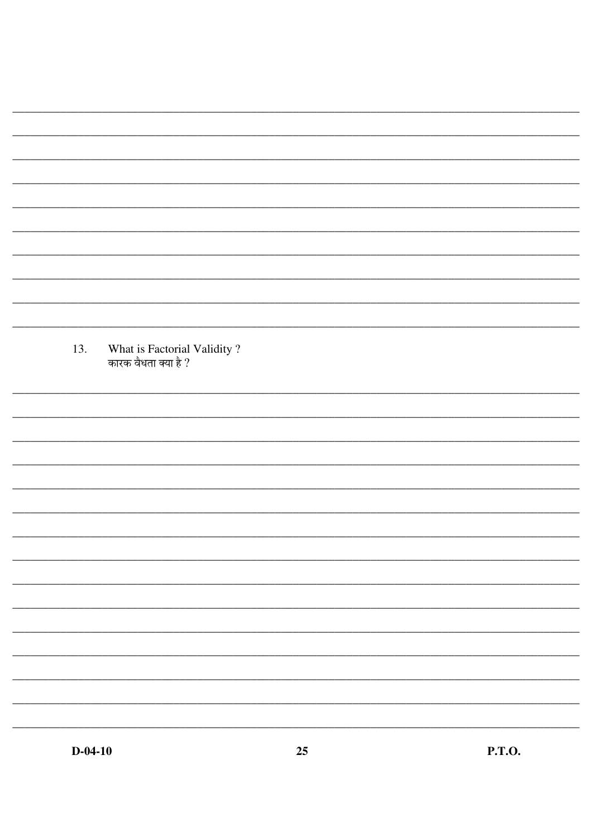What is Factorial Validity ?<br>कारक वैधता क्या है ? 13.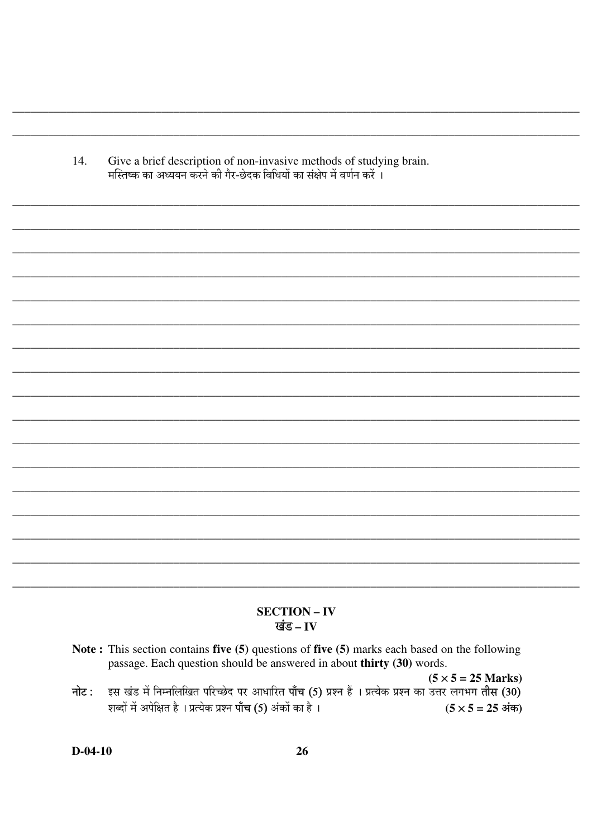Give a brief description of non-invasive methods of studying brain. 14. मस्तिष्क का अध्ययन करने की गैर-छेदक विधियों का संक्षेप में वर्णन करें ।

#### **SECTION-IV** खंड-IV

- Note: This section contains five (5) questions of five (5) marks each based on the following passage. Each question should be answered in about thirty (30) words.
- $(5 \times 5 = 25$  Marks) नोट $:$ इस खंड में निम्नलिखित परिच्छेद पर आधारित **पाँच (5)** प्रश्न हैं । प्रत्येक प्रश्न का उत्तर लगभग **तीस (30)** शब्दों में अपेक्षित है । प्रत्येक प्रश्न **पाँच (5)** अंकों का है ।  $(5 \times 5 = 25 \text{ sign})$

 $D-04-10$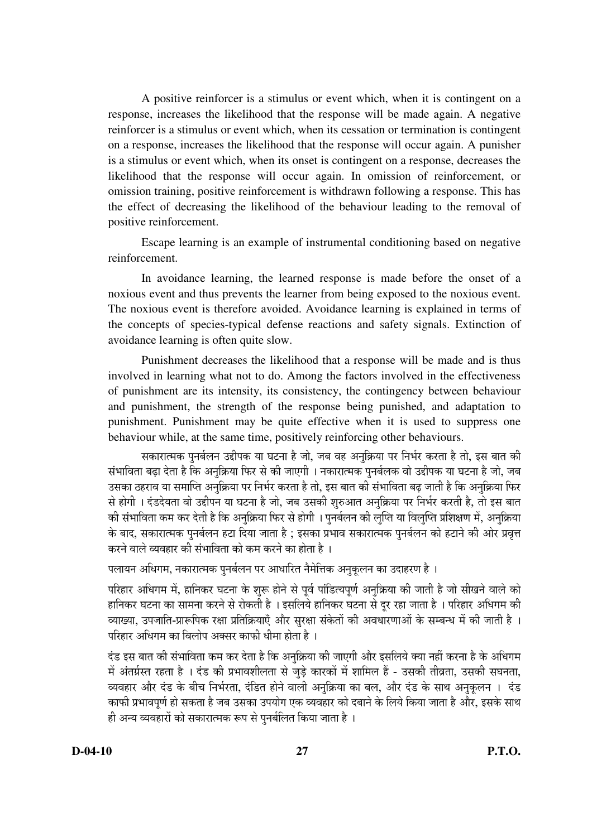A positive reinforcer is a stimulus or event which, when it is contingent on a response, increases the likelihood that the response will be made again. A negative reinforcer is a stimulus or event which, when its cessation or termination is contingent on a response, increases the likelihood that the response will occur again. A punisher is a stimulus or event which, when its onset is contingent on a response, decreases the likelihood that the response will occur again. In omission of reinforcement, or omission training, positive reinforcement is withdrawn following a response. This has the effect of decreasing the likelihood of the behaviour leading to the removal of positive reinforcement.

Escape learning is an example of instrumental conditioning based on negative reinforcement.

In avoidance learning, the learned response is made before the onset of a noxious event and thus prevents the learner from being exposed to the noxious event. The noxious event is therefore avoided. Avoidance learning is explained in terms of the concepts of species-typical defense reactions and safety signals. Extinction of avoidance learning is often quite slow.

Punishment decreases the likelihood that a response will be made and is thus involved in learning what not to do. Among the factors involved in the effectiveness of punishment are its intensity, its consistency, the contingency between behaviour and punishment, the strength of the response being punished, and adaptation to punishment. Punishment may be quite effective when it is used to suppress one behaviour while, at the same time, positively reinforcing other behaviours.

सकारात्मक पुनर्बलन उद्दीपक या घटना है जो, जब वह अनुक्रिया पर निर्भर करता है तो, इस बात की संभाविता बढा देता है कि अनक्रिया फिर से की जाएगी । नकारात्मक पनर्बलक वो उद्दीपक या घटना है जो. जब उसका ठहराव या समाप्ति अनुक्रिया पर निर्भर करता है तो, इस बात की संभाविता बढ जाती है कि अनुक्रिया फिर से होगी । दंडदेयता वो उद्दीपन या घटना है जो, जब उसकी शुरुआत अनुक्रिया पर निर्भर करती है, तो इस बात की संभाविता कम कर देती है कि अनुक्रिया फिर से होगी । पुनर्बलन की लुप्ति या विलुप्ति प्रशिक्षण में, अनुक्रिया के बाद, सकारात्मक पुनर्बलन हटा दिया जाता है ; इसका प्रभाव सकारात्मक पुनर्बलन को हटाने की ओर प्रवृत्त करने वाले व्यवहार की संभाविता को कम करने का होता है ।

पलायन अधिगम, नकारात्मक पुनर्बलन पर आधारित नैमेत्तिक अनुकूलन का उदाहरण है ।

परिहार अधिगम में, हानिकर घटना के शुरू होने से पूर्व पांडित्यपूर्ण अनुक्रिया की जाती है जो सीखने वाले को हानिकर घटना का सामना करने से रोकती है । इसलिये हानिकर घटना से दर रहा जाता है । परिहार अधिगम की व्याख्या, उपजाति-प्रारूपिक रक्षा प्रतिक्रियाएँ और सुरक्षा संकेतों की अवधारणाओं के सम्बन्ध में की जाती है । परिहार अधिगम का विलोप अक्सर काफी धीमा होता है ।

दंड इस बात की संभाविता कम कर देता है कि अनृक्रिया की जाएगी और इसलिये क्या नहीं करना है के अधिगम में अंतर्ग्रस्त रहता है । दंड की प्रभावशीलता से जुडे कारकों में शामिल हैं - उसकी तीव्रता, उसकी सघनता, व्यवहार और दंड के बीच निर्भरता, दंडित होने वाली अनुक्रिया का बल, और दंड के साथ अनुकुलन । दंड काफी प्रभावपर्ण हो सकता है जब उसका उपयोग एक व्यवहार को दबाने के लिये किया जाता है और, इसके साथ ही अन्य व्यवहारों को सकारात्मक रूप से पुनर्बलित किया जाता है ।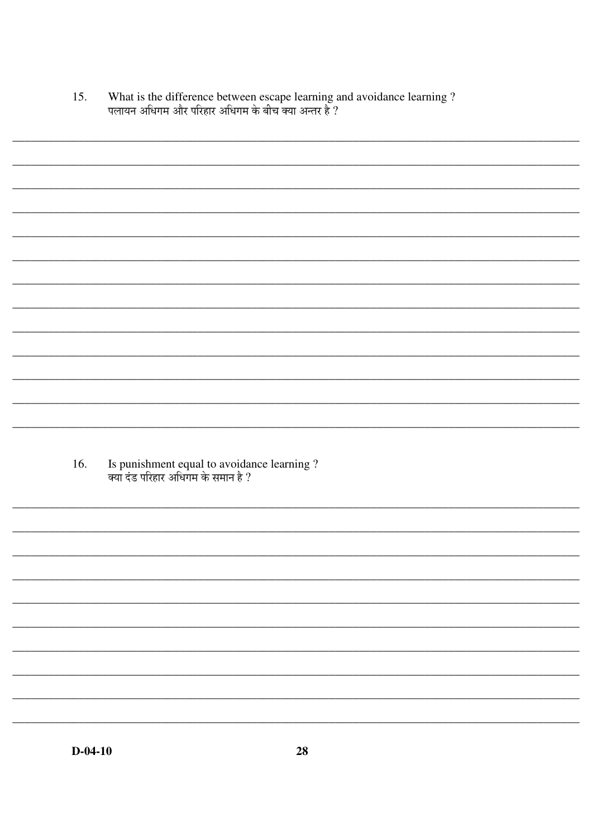| 15. | What is the difference between escape learning and avoidance learning ?<br>पलायन अधिगम और परिहार अधिगम के बीच क्या अन्तर है ? |  |  |
|-----|-------------------------------------------------------------------------------------------------------------------------------|--|--|
|     |                                                                                                                               |  |  |
|     |                                                                                                                               |  |  |
|     |                                                                                                                               |  |  |
|     |                                                                                                                               |  |  |
|     |                                                                                                                               |  |  |
|     |                                                                                                                               |  |  |
|     |                                                                                                                               |  |  |
|     |                                                                                                                               |  |  |
| 16. | Is punishment equal to avoidance learning ?<br>क्या दंड परिहार अधिगम के समान है ?                                             |  |  |
|     |                                                                                                                               |  |  |
|     |                                                                                                                               |  |  |
|     |                                                                                                                               |  |  |
|     |                                                                                                                               |  |  |
|     |                                                                                                                               |  |  |
|     |                                                                                                                               |  |  |
|     |                                                                                                                               |  |  |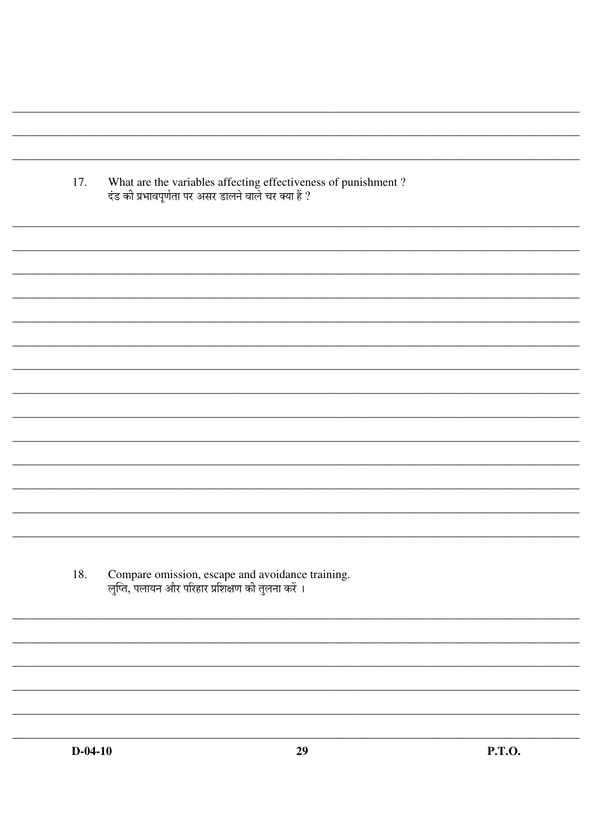| 17. | What are the variables affecting effectiveness of punishment ?<br>दंड की प्रभावपूर्णता पर असर डालने वाले चर क्या हैं ? |
|-----|------------------------------------------------------------------------------------------------------------------------|
|     |                                                                                                                        |
|     |                                                                                                                        |
|     |                                                                                                                        |
|     |                                                                                                                        |
|     |                                                                                                                        |
|     |                                                                                                                        |
|     |                                                                                                                        |
|     |                                                                                                                        |
|     |                                                                                                                        |
|     |                                                                                                                        |
|     |                                                                                                                        |
|     |                                                                                                                        |
| 18. | Compare omission, escape and avoidance training.<br>लुप्ति, पलायन और परिहार प्रशिक्षण की तुलना करें ।                  |
|     |                                                                                                                        |
|     |                                                                                                                        |
|     |                                                                                                                        |
|     |                                                                                                                        |
|     |                                                                                                                        |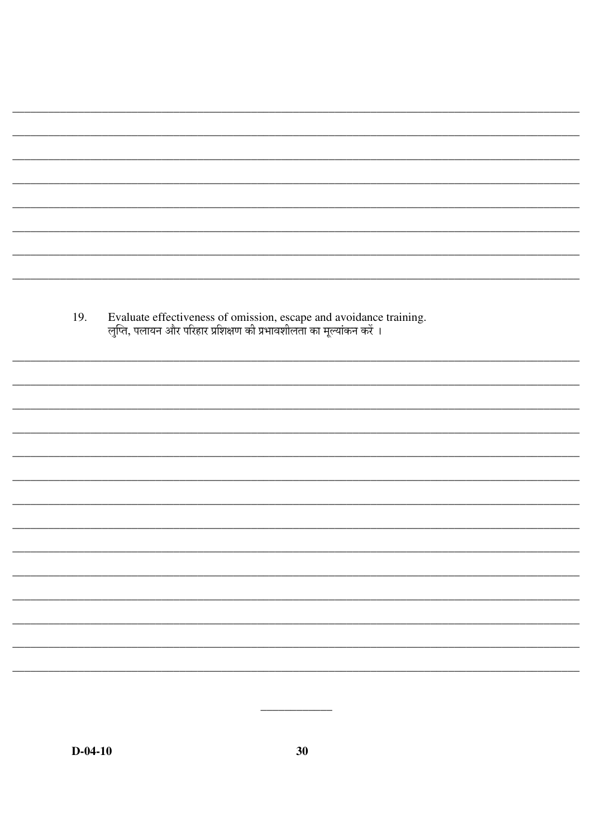Evaluate effectiveness of omission, escape and avoidance training.<br>लुप्ति, पलायन और परिहार प्रशिक्षण की प्रभावशीलता का मूल्यांकन करें । 19.  $\overline{\phantom{0}}$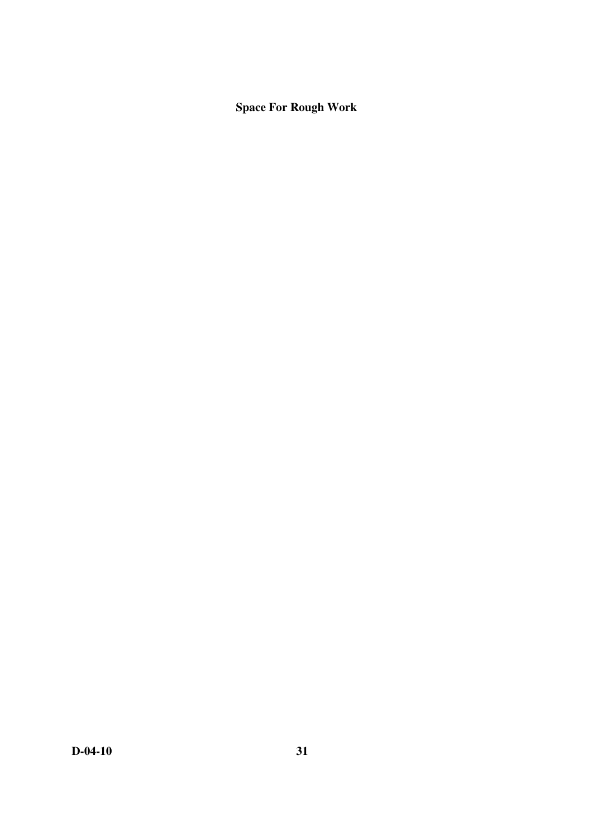**Space For Rough Work**